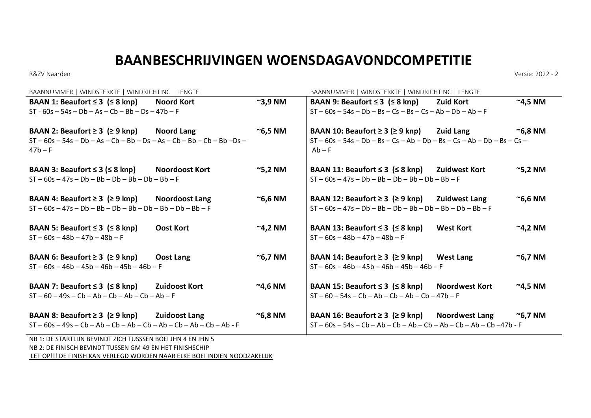## **BAANBESCHRIJVINGEN WOENSDAGAVONDCOMPETITIE**

R&ZV Naarden Versie: 2022 - 2

| BAANNUMMER   WINDSTERKTE   WINDRICHTING   LENGTE                                                |                       | BAANNUMMER   WINDSTERKTE   WINDRICHTING   LENGTE             |                                                                                                                |                  |                     |
|-------------------------------------------------------------------------------------------------|-----------------------|--------------------------------------------------------------|----------------------------------------------------------------------------------------------------------------|------------------|---------------------|
| BAAN 1: Beaufort $\leq$ 3 ( $\leq$ 8 knp)                                                       | Noord Kort            | $\sim$ 3,9 NM                                                | BAAN 9: Beaufort $\leq$ 3 ( $\leq$ 8 knp)                                                                      | Zuid Kort        | $~^{\sim}$ 4,5 NM   |
| $ST - 60s - 54s - Db - As - Ch - Bh - Ds - 47b - F$                                             |                       |                                                              | $ST - 60s - 54s - Db - Bs - Cs - Bs - Cs - Ab - Db - Ab - F$                                                   |                  |                     |
| BAAN 2: Beaufort $\geq 3$ ( $\geq 9$ knp) Noord Lang                                            |                       | $^{\sim}$ 6,5 NM                                             | BAAN 10: Beaufort $\geq 3$ ( $\geq 9$ knp) Zuid Lang                                                           |                  | $^{\sim}$ 6,8 NM    |
| $ST - 60s - 54s - Db - As -Cb - Bb - Ds - As -Cb - Bb -Cb - Bb -Ds -$<br>$47b - F$              |                       |                                                              | $ST - 60s - 54s - Db - Bs - Cs - Ab - Db - Bs - Cs - Ab - Db - Bs - Cs -$<br>$Ab - F$                          |                  |                     |
| BAAN 3: Beaufort $\leq$ 3 ( $\leq$ 8 knp)<br>$ST - 60s - 47s - Db - Bb - Db - Bb - Db - Bh - F$ | Noordoost Kort        | $\approx$ 5,2 NM                                             | BAAN 11: Beaufort $\leq$ 3 ( $\leq$ 8 knp) Zuidwest Kort<br>$ST - 60s - 47s - Db - Bb - Db - Bb - Db - Bh - F$ |                  | $\sim$ 5,2 NM       |
| BAAN 4: Beaufort $\geq 3$ ( $\geq 9$ knp)                                                       | <b>Noordoost Lang</b> | $\sim$ 6,6 NM                                                | BAAN 12: Beaufort $\geq 3$ ( $\geq 9$ knp) Zuidwest Lang                                                       |                  | $^{\sim}$ 6,6 NM    |
| $ST - 60s - 47s - Db - Bb - Db - Bb - Db - Bb - Db - Bb - F$                                    |                       | $ST - 60s - 47s - Db - Bb - Db - Bb - Db - Bb - Db - Bb - F$ |                                                                                                                |                  |                     |
| BAAN 5: Beaufort $\leq$ 3 ( $\leq$ 8 knp)                                                       | <b>Oost Kort</b>      | $^{\sim}$ 4,2 NM                                             | BAAN 13: Beaufort $\leq$ 3 ( $\leq$ 8 knp)                                                                     | <b>West Kort</b> | $^{\sim}$ 4,2 NM    |
| $ST - 60s - 48b - 47b - 48b - F$                                                                |                       |                                                              | $ST - 60s - 48b - 47b - 48b - F$                                                                               |                  |                     |
| BAAN 6: Beaufort $\geq 3$ ( $\geq 9$ knp)                                                       | Oost Lang             | $\approx$ 6,7 NM                                             | BAAN 14: Beaufort $\geq 3$ ( $\geq 9$ knp) West Lang                                                           |                  | $\approx$ 6,7 NM    |
| $ST - 60s - 46b - 45b - 46b - 45b - 46b - F$                                                    |                       |                                                              | $ST - 60s - 46b - 45b - 46b - 45b - 46b - F$                                                                   |                  |                     |
| BAAN 7: Beaufort $\leq$ 3 ( $\leq$ 8 knp)                                                       | Zuidoost Kort         | $^{\sim}$ 4,6 NM                                             | BAAN 15: Beaufort $\leq$ 3 ( $\leq$ 8 knp) Noordwest Kort                                                      |                  | $^{\sim}$ 4,5 NM    |
| $ST - 60 - 49s - Cb - Ab - Cb - Ab - Cb - Ab - F$                                               |                       |                                                              | $ST - 60 - 54s - Cb - Ab - Cb - Ab - Cb - 47b - F$                                                             |                  |                     |
| BAAN 8: Beaufort $\geq 3$ ( $\geq 9$ knp) Zuidoost Lang                                         |                       | $\sim$ 6,8 NM                                                | BAAN 16: Beaufort $\geq 3$ ( $\geq 9$ knp) Noordwest Lang                                                      |                  | <sup>∼</sup> 6,7 NM |
| $ST - 60s - 49s - Cb - Ab - Cb - Ab - Cb - Ab - Cb - Ab - Cb - Ab - F$                          |                       |                                                              | $ST - 60s - 54s - Cb - Ab - Cb - Ab - Cb - Ab - Cb - Ab - Cb - 47b - F$                                        |                  |                     |
| NB 1: DE STARTLIJN BEVINDT ZICH TUSSSEN BOEI JHN 4 EN JHN 5                                     |                       |                                                              |                                                                                                                |                  |                     |

NB 2: DE FINISCH BEVINDT TUSSEN GM 49 EN HET FINISHSCHIP LET OP!!! DE FINISH KAN VERLEGD WORDEN NAAR ELKE BOEI INDIEN NOODZAKELIJK